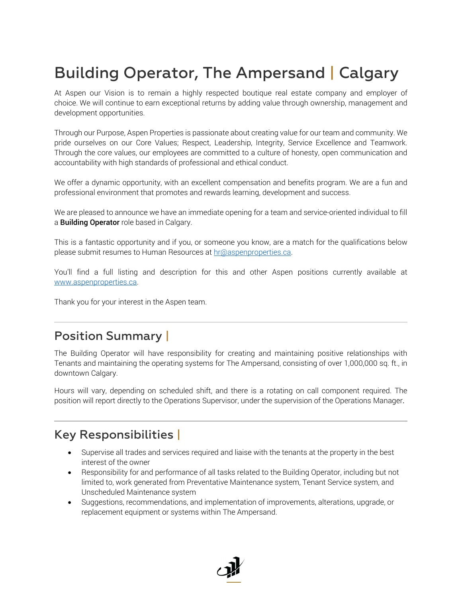# Building Operator, The Ampersand | Calgary

At Aspen our Vision is to remain a highly respected boutique real estate company and employer of choice. We will continue to earn exceptional returns by adding value through ownership, management and development opportunities.

Through our Purpose, Aspen Properties is passionate about creating value for our team and community. We pride ourselves on our Core Values; Respect, Leadership, Integrity, Service Excellence and Teamwork. Through the core values, our employees are committed to a culture of honesty, open communication and accountability with high standards of professional and ethical conduct.

We offer a dynamic opportunity, with an excellent compensation and benefits program. We are a fun and professional environment that promotes and rewards learning, development and success.

We are pleased to announce we have an immediate opening for a team and service-oriented individual to fill a **Building Operator** role based in Calgary.

This is a fantastic opportunity and if you, or someone you know, are a match for the qualifications below please submit resumes to Human Resources at hr@aspenproperties.ca.

You'll find a full listing and description for this and other Aspen positions currently available at www.aspenproperties.ca.

Thank you for your interest in the Aspen team.

### Position Summary |

The Building Operator will have responsibility for creating and maintaining positive relationships with Tenants and maintaining the operating systems for The Ampersand, consisting of over 1,000,000 sq. ft., in downtown Calgary.

Hours will vary, depending on scheduled shift, and there is a rotating on call component required. The position will report directly to the Operations Supervisor, under the supervision of the Operations Manager.

## Key Responsibilities |

- Supervise all trades and services required and liaise with the tenants at the property in the best interest of the owner
- Responsibility for and performance of all tasks related to the Building Operator, including but not limited to, work generated from Preventative Maintenance system, Tenant Service system, and Unscheduled Maintenance system
- Suggestions, recommendations, and implementation of improvements, alterations, upgrade, or replacement equipment or systems within The Ampersand.